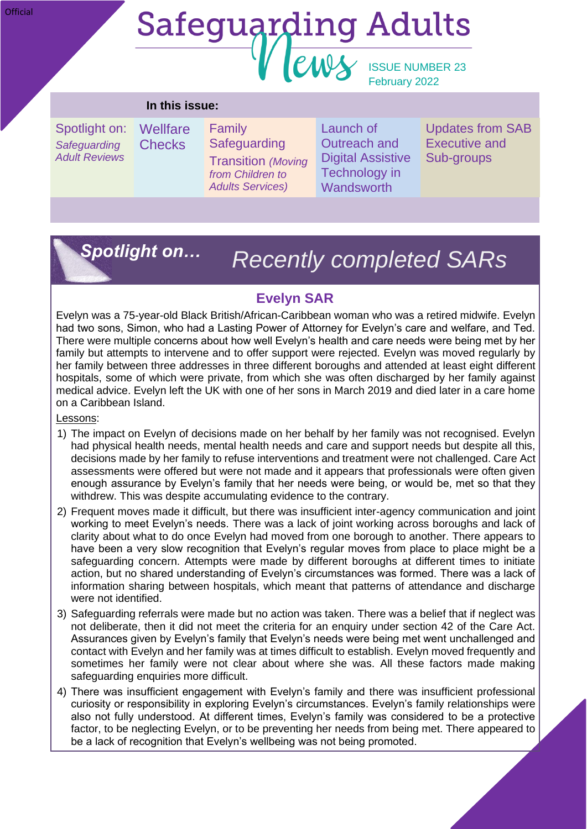#### **Official**

# **Safeguarding Adults** ews ISSUE NUMBER 23

# February 2022

#### **In this issue:**

Spotlight on: *Safeguarding Adult Reviews*

**Wellfare Checks** Family **Safeguarding** Transition *(Moving from Children to* 

*Adults Services)*

Launch of Outreach and Digital Assistive Technology in **Wandsworth** 

Updates from SAB Executive and Sub-groups

## *Spotlight on…*

# *Recently completed SARs*

## **Evelyn SAR**

Evelyn was a 75-year-old Black British/African-Caribbean woman who was a retired midwife. Evelyn had two sons, Simon, who had a Lasting Power of Attorney for Evelyn's care and welfare, and Ted. There were multiple concerns about how well Evelyn's health and care needs were being met by her family but attempts to intervene and to offer support were rejected. Evelyn was moved regularly by her family between three addresses in three different boroughs and attended at least eight different hospitals, some of which were private, from which she was often discharged by her family against medical advice. Evelyn left the UK with one of her sons in March 2019 and died later in a care home on a Caribbean Island.

Lessons:

- 1) The impact on Evelyn of decisions made on her behalf by her family was not recognised. Evelyn had physical health needs, mental health needs and care and support needs but despite all this, decisions made by her family to refuse interventions and treatment were not challenged. Care Act assessments were offered but were not made and it appears that professionals were often given enough assurance by Evelyn's family that her needs were being, or would be, met so that they withdrew. This was despite accumulating evidence to the contrary.
- 2) Frequent moves made it difficult, but there was insufficient inter-agency communication and joint working to meet Evelyn's needs. There was a lack of joint working across boroughs and lack of clarity about what to do once Evelyn had moved from one borough to another. There appears to have been a very slow recognition that Evelyn's regular moves from place to place might be a safeguarding concern. Attempts were made by different boroughs at different times to initiate action, but no shared understanding of Evelyn's circumstances was formed. There was a lack of information sharing between hospitals, which meant that patterns of attendance and discharge were not identified.
- 3) Safeguarding referrals were made but no action was taken. There was a belief that if neglect was not deliberate, then it did not meet the criteria for an enquiry under section 42 of the Care Act. Assurances given by Evelyn's family that Evelyn's needs were being met went unchallenged and contact with Evelyn and her family was at times difficult to establish. Evelyn moved frequently and sometimes her family were not clear about where she was. All these factors made making safeguarding enquiries more difficult.
- 4) There was insufficient engagement with Evelyn's family and there was insufficient professional curiosity or responsibility in exploring Evelyn's circumstances. Evelyn's family relationships were also not fully understood. At different times, Evelyn's family was considered to be a protective factor, to be neglecting Evelyn, or to be preventing her needs from being met. There appeared to be a lack of recognition that Evelyn's wellbeing was not being promoted.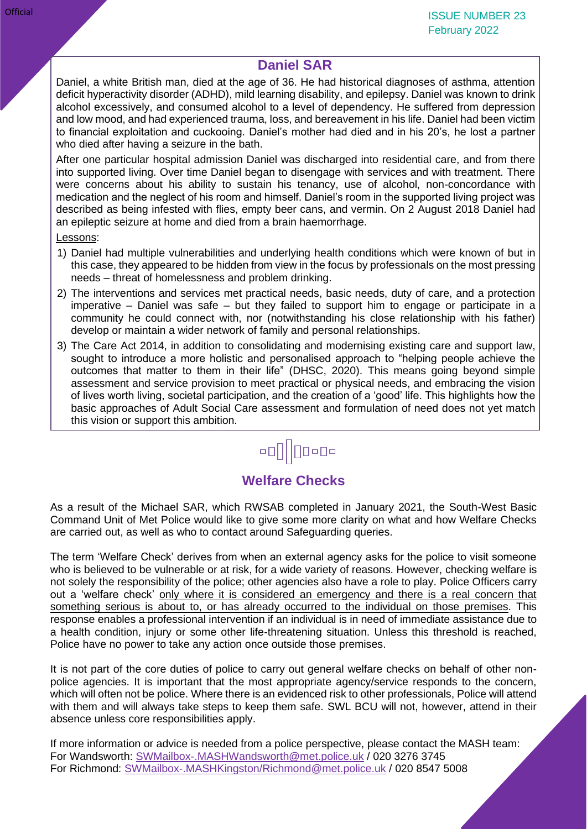## **Daniel SAR**

Daniel, a white British man, died at the age of 36. He had historical diagnoses of asthma, attention deficit hyperactivity disorder (ADHD), mild learning disability, and epilepsy. Daniel was known to drink alcohol excessively, and consumed alcohol to a level of dependency. He suffered from depression and low mood, and had experienced trauma, loss, and bereavement in his life. Daniel had been victim to financial exploitation and cuckooing. Daniel's mother had died and in his 20's, he lost a partner who died after having a seizure in the bath.

After one particular hospital admission Daniel was discharged into residential care, and from there into supported living. Over time Daniel began to disengage with services and with treatment. There were concerns about his ability to sustain his tenancy, use of alcohol, non-concordance with medication and the neglect of his room and himself. Daniel's room in the supported living project was described as being infested with flies, empty beer cans, and vermin. On 2 August 2018 Daniel had an epileptic seizure at home and died from a brain haemorrhage.

#### Lessons:

- 1) Daniel had multiple vulnerabilities and underlying health conditions which were known of but in this case, they appeared to be hidden from view in the focus by professionals on the most pressing needs – threat of homelessness and problem drinking.
- 2) The interventions and services met practical needs, basic needs, duty of care, and a protection imperative – Daniel was safe – but they failed to support him to engage or participate in a community he could connect with, nor (notwithstanding his close relationship with his father) develop or maintain a wider network of family and personal relationships.
- 3) The Care Act 2014, in addition to consolidating and modernising existing care and support law, sought to introduce a more holistic and personalised approach to "helping people achieve the outcomes that matter to them in their life" (DHSC, 2020). This means going beyond simple assessment and service provision to meet practical or physical needs, and embracing the vision of lives worth living, societal participation, and the creation of a 'good' life. This highlights how the basic approaches of Adult Social Care assessment and formulation of need does not yet match this vision or support this ambition.

# **00|||0000**

## **Welfare Checks**

As a result of the Michael SAR, which RWSAB completed in January 2021, the South-West Basic Command Unit of Met Police would like to give some more clarity on what and how Welfare Checks are carried out, as well as who to contact around Safeguarding queries.

The term 'Welfare Check' derives from when an external agency asks for the police to visit someone who is believed to be vulnerable or at risk, for a wide variety of reasons. However, checking welfare is not solely the responsibility of the police; other agencies also have a role to play. Police Officers carry out a 'welfare check' only where it is considered an emergency and there is a real concern that something serious is about to, or has already occurred to the individual on those premises. This response enables a professional intervention if an individual is in need of immediate assistance due to a health condition, injury or some other life-threatening situation. Unless this threshold is reached, Police have no power to take any action once outside those premises.

It is not part of the core duties of police to carry out general welfare checks on behalf of other nonpolice agencies. It is important that the most appropriate agency/service responds to the concern, which will often not be police. Where there is an evidenced risk to other professionals, Police will attend with them and will always take steps to keep them safe. SWL BCU will not, however, attend in their absence unless core responsibilities apply.

If more information or advice is needed from a police perspective, please contact the MASH team: For Wandsworth: [SWMailbox-.MASHWandsworth@met.police.uk](mailto:SWMailbox-.MASHWandsworth@met.police.uk) / 020 3276 3745 For Richmond: [SWMailbox-.MASHKingston/Richmond@met.police.uk](mailto:SWMailbox-.MASHKingston/Richmond@met.police.uk) / 020 8547 5008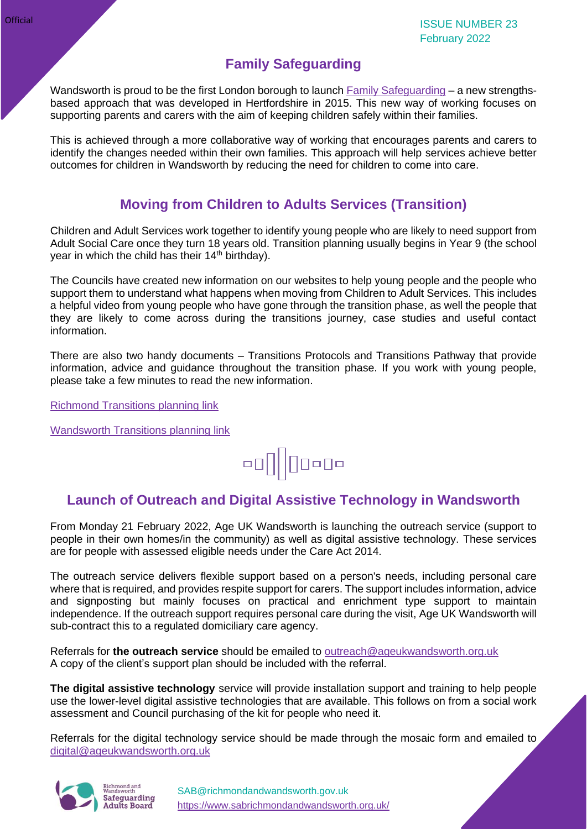## **Family Safeguarding**

Wandsworth is proud to be the first London borough to launch [Family Safeguarding](https://www.wandsworth.gov.uk/familysafeguarding) – a new strengthsbased approach that was developed in Hertfordshire in 2015. This new way of working focuses on supporting parents and carers with the aim of keeping children safely within their families.

This is achieved through a more collaborative way of working that encourages parents and carers to identify the changes needed within their own families. This approach will help services achieve better outcomes for children in Wandsworth by reducing the need for children to come into care.

### **Moving from Children to Adults Services (Transition)**

Children and Adult Services work together to identify young people who are likely to need support from Adult Social Care once they turn 18 years old. Transition planning usually begins in Year 9 (the school year in which the child has their  $14<sup>th</sup>$  birthday).

The Councils have created new information on our websites to help young people and the people who support them to understand what happens when moving from Children to Adult Services. This includes a helpful video from young people who have gone through the transition phase, as well the people that they are likely to come across during the transitions journey, case studies and useful contact information.

There are also two handy documents – Transitions Protocols and Transitions Pathway that provide information, advice and guidance throughout the transition phase. If you work with young people, please take a few minutes to read the new information.

[Richmond Transitions planning link](https://www.richmond.gov.uk/services/adult_social_care/adult_social_care_information_and_advice/who_we_can_help/moving_from_childrens_to_adult_services/transitions_planning)

[Wandsworth Transitions](https://www.wandsworth.gov.uk/health-and-social-care/adult-social-care/adult-social-care-information-and-advice/who-adult-social-care-can-help/moving-from-childrens-to-adults-services/transitions-planning/) planning link



## **Launch of Outreach and Digital Assistive Technology in Wandsworth**

From Monday 21 February 2022, Age UK Wandsworth is launching the outreach service (support to people in their own homes/in the community) as well as digital assistive technology. These services are for people with assessed eligible needs under the Care Act 2014.

The outreach service delivers flexible support based on a person's needs, including personal care where that is required, and provides respite support for carers. The support includes information, advice and signposting but mainly focuses on practical and enrichment type support to maintain independence. If the outreach support requires personal care during the visit, Age UK Wandsworth will sub-contract this to a regulated domiciliary care agency.

Referrals for **the outreach service** should be emailed to [outreach@ageukwandsworth.org.uk](mailto:outreach@ageukwandsworth.org.uk) A copy of the client's support plan should be included with the referral.

**The digital assistive technology** service will provide installation support and training to help people use the lower-level digital assistive technologies that are available. This follows on from a social work assessment and Council purchasing of the kit for people who need it.

Referrals for the digital technology service should be made through the mosaic form and emailed to [digital@ageukwandsworth.org.uk](mailto:digital@ageukwandsworth.org.uk)